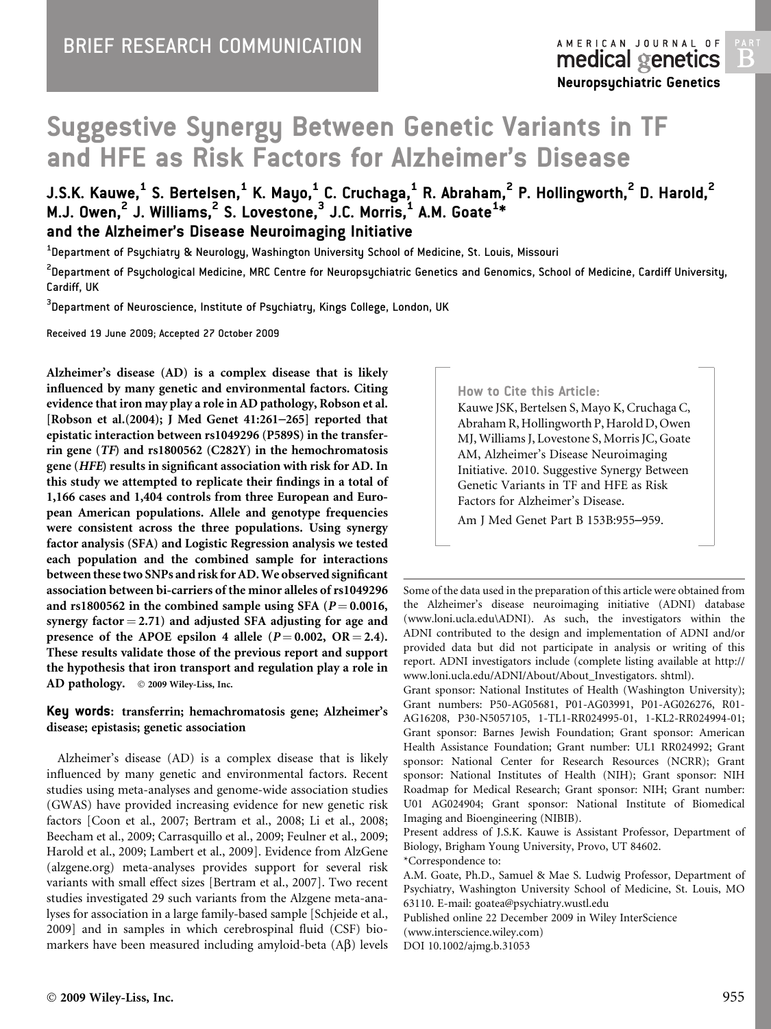# Suggestive Synergy Between Genetic Variants in TF and HFE as Risk Factors for Alzheimer's Disease

# J.S.K. Kauwe, $^1$  S. Bertelsen, $^1$  K. Mayo, $^1$  C. Cruchaga, $^1$  R. Abraham, $^2$  P. Hollingworth, $^2$  D. Harold, $^2$ M.J. Owen,  $2^2$  J. Williams,  $2^2$  S. Lovestone,  $3^3$  J.C. Morris,  $1^4$  A.M. Goate  $1*$ and the Alzheimer's Disease Neuroimaging Initiative

 $^{\rm 1}$ Department of Psychiatry & Neurology, Washington University School of Medicine, St. Louis, Missouri

<sup>2</sup>Department of Psychological Medicine, MRC Centre for Neuropsychiatric Genetics and Genomics, School of Medicine, Cardiff University, Cardiff, UK

 $^{\rm 3}$ Department of Neuroscience, Institute of Psychiatry, Kings College, London, UK

Received 19 June 2009; Accepted 27 October 2009

Alzheimer's disease (AD) is a complex disease that is likely influenced by many genetic and environmental factors. Citing evidence that iron may play a role in AD pathology, Robson et al. [Robson et al.(2004); J Med Genet 41:261–265] reported that epistatic interaction between rs1049296 (P589S) in the transferrin gene (TF) and rs1800562 (C282Y) in the hemochromatosis gene (HFE) results in significant association with risk for AD. In this study we attempted to replicate their findings in a total of 1,166 cases and 1,404 controls from three European and European American populations. Allele and genotype frequencies were consistent across the three populations. Using synergy factor analysis (SFA) and Logistic Regression analysis we tested each population and the combined sample for interactions between these two SNPs and risk for AD. We observed significant association between bi-carriers of the minor alleles of rs1049296 and rs1800562 in the combined sample using SFA ( $P = 0.0016$ , synergy factor  $= 2.71$ ) and adjusted SFA adjusting for age and presence of the APOE epsilon 4 allele ( $P = 0.002$ , OR  $= 2.4$ ). These results validate those of the previous report and support the hypothesis that iron transport and regulation play a role in AD pathology. © 2009 Wiley-Liss, Inc.

# Key words: transferrin; hemachromatosis gene; Alzheimer's disease; epistasis; genetic association

Alzheimer's disease (AD) is a complex disease that is likely influenced by many genetic and environmental factors. Recent studies using meta-analyses and genome-wide association studies (GWAS) have provided increasing evidence for new genetic risk factors [Coon et al., 2007; Bertram et al., 2008; Li et al., 2008; Beecham et al., 2009; Carrasquillo et al., 2009; Feulner et al., 2009; Harold et al., 2009; Lambert et al., 2009]. Evidence from AlzGene (alzgene.org) meta-analyses provides support for several risk variants with small effect sizes [Bertram et al., 2007]. Two recent studies investigated 29 such variants from the Alzgene meta-analyses for association in a large family-based sample [Schjeide et al., 2009] and in samples in which cerebrospinal fluid (CSF) biomarkers have been measured including amyloid-beta  $(A\beta)$  levels

# How to Cite this Article:

Kauwe JSK, Bertelsen S, Mayo K, Cruchaga C, Abraham R, Hollingworth P, Harold D, Owen MJ, Williams J, Lovestone S, Morris JC, Goate AM, Alzheimer's Disease Neuroimaging Initiative. 2010. Suggestive Synergy Between Genetic Variants in TF and HFE as Risk Factors for Alzheimer's Disease.

Am J Med Genet Part B 153B:955–959.

Some of the data used in the preparation of this article were obtained from the Alzheimer's disease neuroimaging initiative (ADNI) database (www.loni.ucla.edu\ADNI). As such, the investigators within the ADNI contributed to the design and implementation of ADNI and/or provided data but did not participate in analysis or writing of this report. ADNI investigators include (complete listing available at http:// www.loni.ucla.edu/ADNI/About/About\_Investigators. shtml).

Grant sponsor: National Institutes of Health (Washington University); Grant numbers: P50-AG05681, P01-AG03991, P01-AG026276, R01- AG16208, P30-N5057105, 1-TL1-RR024995-01, 1-KL2-RR024994-01; Grant sponsor: Barnes Jewish Foundation; Grant sponsor: American Health Assistance Foundation; Grant number: UL1 RR024992; Grant sponsor: National Center for Research Resources (NCRR); Grant sponsor: National Institutes of Health (NIH); Grant sponsor: NIH Roadmap for Medical Research; Grant sponsor: NIH; Grant number: U01 AG024904; Grant sponsor: National Institute of Biomedical Imaging and Bioengineering (NIBIB).

Present address of J.S.K. Kauwe is Assistant Professor, Department of Biology, Brigham Young University, Provo, UT 84602.

\*Correspondence to:

A.M. Goate, Ph.D., Samuel & Mae S. Ludwig Professor, Department of Psychiatry, Washington University School of Medicine, St. Louis, MO 63110. E-mail: goatea@psychiatry.wustl.edu

Published online 22 December 2009 in Wiley InterScience (www.interscience.wiley.com) DOI 10.1002/ajmg.b.31053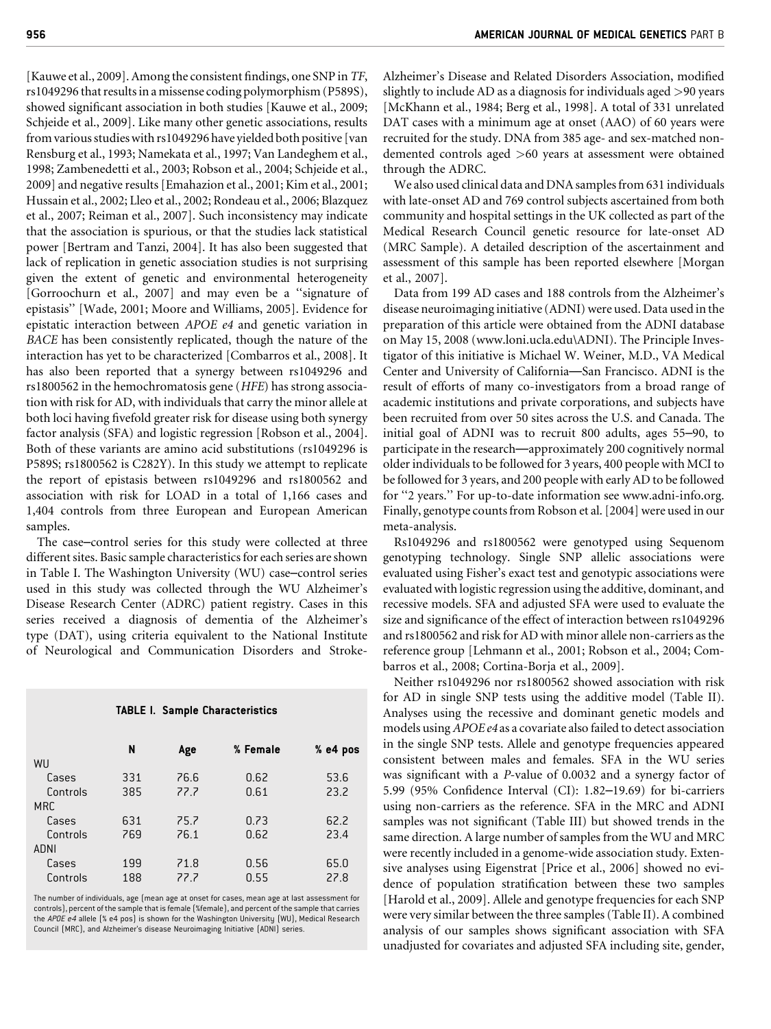[Kauwe et al., 2009]. Among the consistent findings, one SNP in TF, rs1049296 that results in a missense coding polymorphism (P589S), showed significant association in both studies [Kauwe et al., 2009; Schjeide et al., 2009]. Like many other genetic associations, results from various studies with rs1049296 have yielded both positive [van Rensburg et al., 1993; Namekata et al., 1997; Van Landeghem et al., 1998; Zambenedetti et al., 2003; Robson et al., 2004; Schjeide et al., 2009] and negative results [Emahazion et al., 2001; Kim et al., 2001; Hussain et al., 2002; Lleo et al., 2002; Rondeau et al., 2006; Blazquez et al., 2007; Reiman et al., 2007]. Such inconsistency may indicate that the association is spurious, or that the studies lack statistical power [Bertram and Tanzi, 2004]. It has also been suggested that lack of replication in genetic association studies is not surprising given the extent of genetic and environmental heterogeneity [Gorroochurn et al., 2007] and may even be a ''signature of epistasis'' [Wade, 2001; Moore and Williams, 2005]. Evidence for epistatic interaction between APOE e4 and genetic variation in BACE has been consistently replicated, though the nature of the interaction has yet to be characterized [Combarros et al., 2008]. It has also been reported that a synergy between rs1049296 and rs1800562 in the hemochromatosis gene (HFE) has strong association with risk for AD, with individuals that carry the minor allele at both loci having fivefold greater risk for disease using both synergy factor analysis (SFA) and logistic regression [Robson et al., 2004]. Both of these variants are amino acid substitutions (rs1049296 is P589S; rs1800562 is C282Y). In this study we attempt to replicate the report of epistasis between rs1049296 and rs1800562 and association with risk for LOAD in a total of 1,166 cases and 1,404 controls from three European and European American samples.

The case–control series for this study were collected at three different sites. Basic sample characteristics for each series are shown in Table I. The Washington University (WU) case–control series used in this study was collected through the WU Alzheimer's Disease Research Center (ADRC) patient registry. Cases in this series received a diagnosis of dementia of the Alzheimer's type (DAT), using criteria equivalent to the National Institute of Neurological and Communication Disorders and Stroke-

#### TABLE I. Sample Characteristics

|            | N   | Age  | % Female | % e4 pos |
|------------|-----|------|----------|----------|
| WU         |     |      |          |          |
| Cases      | 331 | 76.6 | 0.62     | 53.6     |
| Controls   | 385 | 77.7 | 0.61     | 23.2     |
| <b>MRC</b> |     |      |          |          |
| Cases      | 631 | 75.7 | 0.73     | 62.2     |
| Controls   | 769 | 76.1 | 0.62     | 23.4     |
| ADNI       |     |      |          |          |
| Cases      | 199 | 71.8 | 0.56     | 65.0     |
| Controls   | 188 | 77.7 | 0.55     | 27.8     |

The number of individuals, age (mean age at onset for cases, mean age at last assessment for controls), percent of the sample that is female (%female), and percent of the sample that carries the APOE e4 allele (% e4 pos) is shown for the Washington University (WU), Medical Research Council (MRC), and Alzheimer's disease Neuroimaging Initiative (ADNI) series.

Alzheimer's Disease and Related Disorders Association, modified slightly to include AD as a diagnosis for individuals aged >90 years [McKhann et al., 1984; Berg et al., 1998]. A total of 331 unrelated DAT cases with a minimum age at onset (AAO) of 60 years were recruited for the study. DNA from 385 age- and sex-matched nondemented controls aged >60 years at assessment were obtained through the ADRC.

We also used clinical data and DNA samples from 631 individuals with late-onset AD and 769 control subjects ascertained from both community and hospital settings in the UK collected as part of the Medical Research Council genetic resource for late-onset AD (MRC Sample). A detailed description of the ascertainment and assessment of this sample has been reported elsewhere [Morgan et al., 2007].

Data from 199 AD cases and 188 controls from the Alzheimer's disease neuroimaging initiative (ADNI) were used. Data used in the preparation of this article were obtained from the ADNI database on May 15, 2008 (www.loni.ucla.edu\ADNI). The Principle Investigator of this initiative is Michael W. Weiner, M.D., VA Medical Center and University of California—San Francisco. ADNI is the result of efforts of many co-investigators from a broad range of academic institutions and private corporations, and subjects have been recruited from over 50 sites across the U.S. and Canada. The initial goal of ADNI was to recruit 800 adults, ages 55–90, to participate in the research—approximately 200 cognitively normal older individuals to be followed for 3 years, 400 people with MCI to be followed for 3 years, and 200 people with early AD to be followed for ''2 years.'' For up-to-date information see www.adni-info.org. Finally, genotype counts from Robson et al. [2004] were used in our meta-analysis.

Rs1049296 and rs1800562 were genotyped using Sequenom genotyping technology. Single SNP allelic associations were evaluated using Fisher's exact test and genotypic associations were evaluated with logistic regression using the additive, dominant, and recessive models. SFA and adjusted SFA were used to evaluate the size and significance of the effect of interaction between rs1049296 and rs1800562 and risk for AD with minor allele non-carriers as the reference group [Lehmann et al., 2001; Robson et al., 2004; Combarros et al., 2008; Cortina-Borja et al., 2009].

Neither rs1049296 nor rs1800562 showed association with risk for AD in single SNP tests using the additive model (Table II). Analyses using the recessive and dominant genetic models and models using APOE e4 as a covariate also failed to detect association in the single SNP tests. Allele and genotype frequencies appeared consistent between males and females. SFA in the WU series was significant with a P-value of 0.0032 and a synergy factor of 5.99 (95% Confidence Interval (CI): 1.82–19.69) for bi-carriers using non-carriers as the reference. SFA in the MRC and ADNI samples was not significant (Table III) but showed trends in the same direction. A large number of samples from the WU and MRC were recently included in a genome-wide association study. Extensive analyses using Eigenstrat [Price et al., 2006] showed no evidence of population stratification between these two samples [Harold et al., 2009]. Allele and genotype frequencies for each SNP were very similar between the three samples (Table II). A combined analysis of our samples shows significant association with SFA unadjusted for covariates and adjusted SFA including site, gender,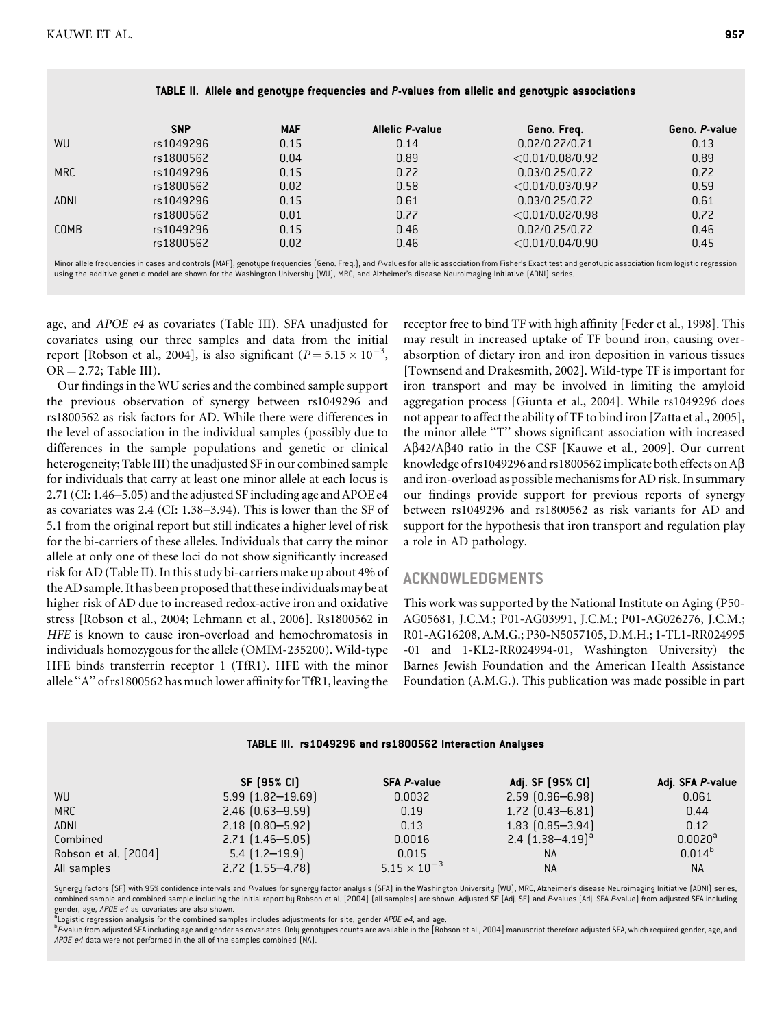|             | <b>SNP</b> | <b>MAF</b> | <b>Allelic P-value</b> | Geno. Freq.        | Geno, P-value |
|-------------|------------|------------|------------------------|--------------------|---------------|
| WU          | rs1049296  | 0.15       | 0.14                   | 0.02/0.27/0.71     | 0.13          |
|             | rs1800562  | 0.04       | 0.89                   | < 0.01/0.08/0.92   | 0.89          |
| <b>MRC</b>  | rs1049296  | 0.15       | 0.72                   | 0.03/0.25/0.72     | 0.72          |
|             | rs1800562  | 0.02       | 0.58                   | $<$ 0.01/0.03/0.97 | 0.59          |
| ADNI        | rs1049296  | 0.15       | 0.61                   | 0.03/0.25/0.72     | 0.61          |
|             | rs1800562  | 0.01       | 0.77                   | < 0.01/0.02/0.98   | 0.72          |
| <b>COMB</b> | rs1049296  | 0.15       | 0.46                   | 0.02/0.25/0.72     | 0.46          |
|             | rs1800562  | 0.02       | 0.46                   | $<$ 0.01/0.04/0.90 | 0.45          |

### TABLE II. Allele and genotype frequencies and P-values from allelic and genotypic associations

Minor allele frequencies in cases and controls (MAF), genotype frequencies (Geno. Freq.), and P-values for allelic association from Fisher's Exact test and genotypic association from logistic regression using the additive genetic model are shown for the Washington University (WU), MRC, and Alzheimer's disease Neuroimaging Initiative (ADNI) series.

age, and APOE e4 as covariates (Table III). SFA unadjusted for covariates using our three samples and data from the initial report [Robson et al., 2004], is also significant  $(P = 5.15 \times 10^{-3}$ ,  $OR = 2.72$ ; Table III).

Our findings in the WU series and the combined sample support the previous observation of synergy between rs1049296 and rs1800562 as risk factors for AD. While there were differences in the level of association in the individual samples (possibly due to differences in the sample populations and genetic or clinical heterogeneity; Table III) the unadjusted SF in our combined sample for individuals that carry at least one minor allele at each locus is 2.71 (CI: 1.46–5.05) and the adjusted SF including age and APOE e4 as covariates was 2.4 (CI: 1.38–3.94). This is lower than the SF of 5.1 from the original report but still indicates a higher level of risk for the bi-carriers of these alleles. Individuals that carry the minor allele at only one of these loci do not show significantly increased risk for AD (Table II). In this study bi-carriers make up about 4% of the AD sample. It has been proposed that these individuals may be at higher risk of AD due to increased redox-active iron and oxidative stress [Robson et al., 2004; Lehmann et al., 2006]. Rs1800562 in HFE is known to cause iron-overload and hemochromatosis in individuals homozygous for the allele (OMIM-235200). Wild-type HFE binds transferrin receptor 1 (TfR1). HFE with the minor allele ''A'' of rs1800562 has much lower affinity for TfR1, leaving the

receptor free to bind TF with high affinity [Feder et al., 1998]. This may result in increased uptake of TF bound iron, causing overabsorption of dietary iron and iron deposition in various tissues [Townsend and Drakesmith, 2002]. Wild-type TF is important for iron transport and may be involved in limiting the amyloid aggregation process [Giunta et al., 2004]. While rs1049296 does not appear to affect the ability of TF to bind iron [Zatta et al., 2005], the minor allele ''T'' shows significant association with increased Aβ42/Aβ40 ratio in the CSF [Kauwe et al., 2009]. Our current knowledge of rs1049296 and rs1800562 implicate both effects on  $\mathbf{A}\mathbf{\beta}$ and iron-overload as possible mechanisms for AD risk. In summary our findings provide support for previous reports of synergy between rs1049296 and rs1800562 as risk variants for AD and support for the hypothesis that iron transport and regulation play a role in AD pathology.

# ACKNOWLEDGMENTS

This work was supported by the National Institute on Aging (P50- AG05681, J.C.M.; P01-AG03991, J.C.M.; P01-AG026276, J.C.M.; R01-AG16208, A.M.G.; P30-N5057105, D.M.H.; 1-TL1-RR024995 -01 and 1-KL2-RR024994-01, Washington University) the Barnes Jewish Foundation and the American Health Assistance Foundation (A.M.G.). This publication was made possible in part

|                      | SF (95% CI)             | <b>SFA P-value</b>    | Adj. SF (95% CI)       | Adj. SFA P-value      |  |
|----------------------|-------------------------|-----------------------|------------------------|-----------------------|--|
| WU                   | $5.99$ $(1.82 - 19.69)$ | 0.0032                | $2.59$ $(0.96 - 6.98)$ | 0.061                 |  |
| <b>MRC</b>           | $2.46$ $(0.63 - 9.59)$  | 0.19                  | $1.72$ $[0.43 - 6.81]$ | 0.44                  |  |
| <b>ADNI</b>          | $2.18$ $(0.80 - 5.92)$  | 0.13                  | $1.83$ $(0.85 - 3.94)$ | 0.12                  |  |
| Combined             | $2.71$ $(1.46 - 5.05)$  | 0.0016                | 2.4 $(1.38 - 4.19)^a$  | $0.0020$ <sup>a</sup> |  |
| Robson et al. [2004] | $5.4$ $(1.2 - 19.9)$    | 0.015                 | <b>NA</b>              | $0.014^{b}$           |  |
| All samples          | $2.72$ [1.55-4.78]      | $5.15 \times 10^{-3}$ | <b>NA</b>              | <b>NA</b>             |  |

TABLE III. rs1049296 and rs1800562 Interaction Analyses

Synergy factors (SF) with 95% confidence intervals and P-values for synergy factor analysis (SFA) in the Washington University (WU), MRC, Alzheimer's disease Neuroimaging Initiative (ADNI) series, combined sample and combined sample including the initial report by Robson et al. [2004] (all samples) are shown. Adjusted SF (Adj. SF) and P-values (Adj. SFA P-value) from adjusted SFA including gender, age, APOE e4 as covariates are also shown.<br><sup>a</sup> Logistic regression analysis for the combined samples includes adjustments for site, gender APOE e4, and age.

<sup>a</sup>Logistic regression analysis for the combined samples includes adjustments for site, gender *AP0E e4*, and age.<br><sup>b</sup>P-value from adjusted SFA including age and gender as covariates. Only genotypes counts are available in APOE e4 data were not performed in the all of the samples combined (NA).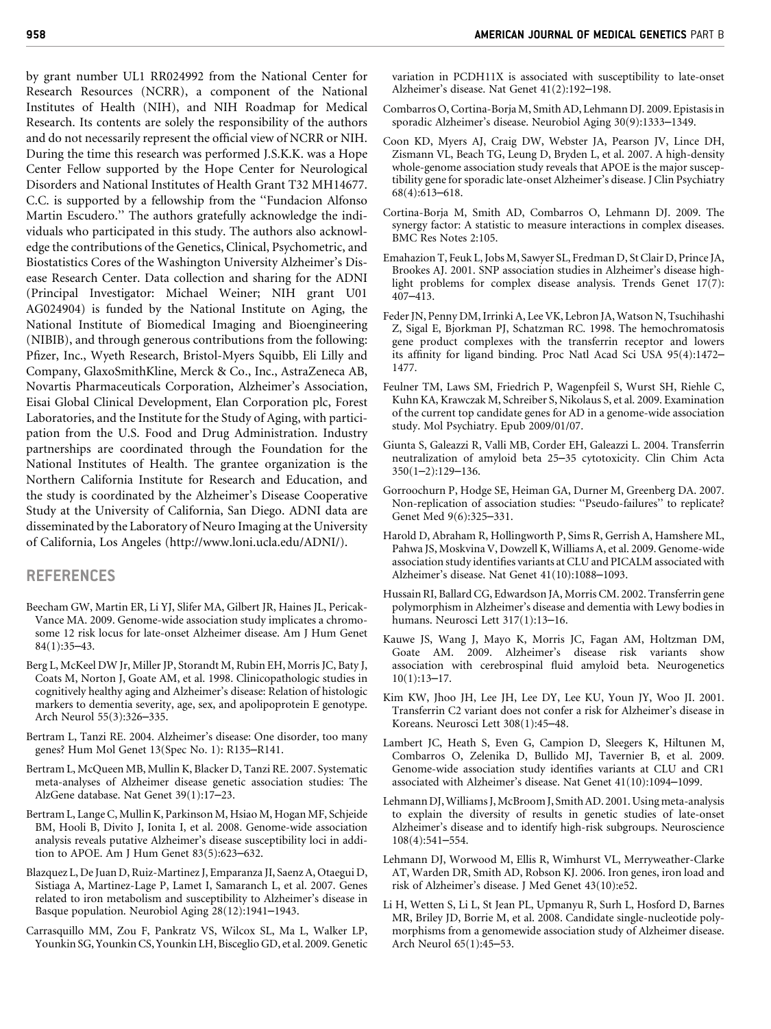by grant number UL1 RR024992 from the National Center for Research Resources (NCRR), a component of the National Institutes of Health (NIH), and NIH Roadmap for Medical Research. Its contents are solely the responsibility of the authors and do not necessarily represent the official view of NCRR or NIH. During the time this research was performed J.S.K.K. was a Hope Center Fellow supported by the Hope Center for Neurological Disorders and National Institutes of Health Grant T32 MH14677. C.C. is supported by a fellowship from the ''Fundacion Alfonso Martin Escudero.'' The authors gratefully acknowledge the individuals who participated in this study. The authors also acknowledge the contributions of the Genetics, Clinical, Psychometric, and Biostatistics Cores of the Washington University Alzheimer's Disease Research Center. Data collection and sharing for the ADNI (Principal Investigator: Michael Weiner; NIH grant U01 AG024904) is funded by the National Institute on Aging, the National Institute of Biomedical Imaging and Bioengineering (NIBIB), and through generous contributions from the following: Pfizer, Inc., Wyeth Research, Bristol-Myers Squibb, Eli Lilly and Company, GlaxoSmithKline, Merck & Co., Inc., AstraZeneca AB, Novartis Pharmaceuticals Corporation, Alzheimer's Association, Eisai Global Clinical Development, Elan Corporation plc, Forest Laboratories, and the Institute for the Study of Aging, with participation from the U.S. Food and Drug Administration. Industry partnerships are coordinated through the Foundation for the National Institutes of Health. The grantee organization is the Northern California Institute for Research and Education, and the study is coordinated by the Alzheimer's Disease Cooperative Study at the University of California, San Diego. ADNI data are disseminated by the Laboratory of Neuro Imaging at the University of California, Los Angeles (http://www.loni.ucla.edu/ADNI/).

# REFERENCES

- Beecham GW, Martin ER, Li YJ, Slifer MA, Gilbert JR, Haines JL, Pericak-Vance MA. 2009. Genome-wide association study implicates a chromosome 12 risk locus for late-onset Alzheimer disease. Am J Hum Genet 84(1):35–43.
- Berg L, McKeel DW Jr, Miller JP, Storandt M, Rubin EH, Morris JC, Baty J, Coats M, Norton J, Goate AM, et al. 1998. Clinicopathologic studies in cognitively healthy aging and Alzheimer's disease: Relation of histologic markers to dementia severity, age, sex, and apolipoprotein E genotype. Arch Neurol 55(3):326–335.
- Bertram L, Tanzi RE. 2004. Alzheimer's disease: One disorder, too many genes? Hum Mol Genet 13(Spec No. 1): R135–R141.
- Bertram L, McQueen MB, Mullin K, Blacker D, Tanzi RE. 2007. Systematic meta-analyses of Alzheimer disease genetic association studies: The AlzGene database. Nat Genet 39(1):17–23.
- Bertram L, Lange C, Mullin K, Parkinson M, Hsiao M, Hogan MF, Schjeide BM, Hooli B, Divito J, Ionita I, et al. 2008. Genome-wide association analysis reveals putative Alzheimer's disease susceptibility loci in addition to APOE. Am J Hum Genet 83(5):623–632.
- Blazquez L, De Juan D, Ruiz-Martinez J, Emparanza JI, Saenz A, Otaegui D, Sistiaga A, Martinez-Lage P, Lamet I, Samaranch L, et al. 2007. Genes related to iron metabolism and susceptibility to Alzheimer's disease in Basque population. Neurobiol Aging 28(12):1941–1943.
- Carrasquillo MM, Zou F, Pankratz VS, Wilcox SL, Ma L, Walker LP, Younkin SG, Younkin CS, Younkin LH, Bisceglio GD, et al. 2009. Genetic

variation in PCDH11X is associated with susceptibility to late-onset Alzheimer's disease. Nat Genet 41(2):192–198.

- Combarros O, Cortina-Borja M, Smith AD, Lehmann DJ. 2009. Epistasis in sporadic Alzheimer's disease. Neurobiol Aging 30(9):1333–1349.
- Coon KD, Myers AJ, Craig DW, Webster JA, Pearson JV, Lince DH, Zismann VL, Beach TG, Leung D, Bryden L, et al. 2007. A high-density whole-genome association study reveals that APOE is the major susceptibility gene for sporadic late-onset Alzheimer's disease. J Clin Psychiatry 68(4):613–618.
- Cortina-Borja M, Smith AD, Combarros O, Lehmann DJ. 2009. The synergy factor: A statistic to measure interactions in complex diseases. BMC Res Notes 2:105.
- Emahazion T, Feuk L, Jobs M, Sawyer SL, Fredman D, St Clair D, Prince JA, Brookes AJ. 2001. SNP association studies in Alzheimer's disease highlight problems for complex disease analysis. Trends Genet 17(7): 407–413.
- Feder JN, Penny DM, Irrinki A, Lee VK, Lebron JA, Watson N, Tsuchihashi Z, Sigal E, Bjorkman PJ, Schatzman RC. 1998. The hemochromatosis gene product complexes with the transferrin receptor and lowers its affinity for ligand binding. Proc Natl Acad Sci USA 95(4):1472– 1477.
- Feulner TM, Laws SM, Friedrich P, Wagenpfeil S, Wurst SH, Riehle C, Kuhn KA, Krawczak M, Schreiber S, Nikolaus S, et al. 2009. Examination of the current top candidate genes for AD in a genome-wide association study. Mol Psychiatry. Epub 2009/01/07.
- Giunta S, Galeazzi R, Valli MB, Corder EH, Galeazzi L. 2004. Transferrin neutralization of amyloid beta 25–35 cytotoxicity. Clin Chim Acta 350(1–2):129–136.
- Gorroochurn P, Hodge SE, Heiman GA, Durner M, Greenberg DA. 2007. Non-replication of association studies: ''Pseudo-failures'' to replicate? Genet Med 9(6):325–331.
- Harold D, Abraham R, Hollingworth P, Sims R, Gerrish A, Hamshere ML, Pahwa JS, Moskvina V, Dowzell K, Williams A, et al. 2009. Genome-wide association study identifies variants at CLU and PICALM associated with Alzheimer's disease. Nat Genet 41(10):1088–1093.
- Hussain RI, Ballard CG, Edwardson JA, Morris CM. 2002. Transferrin gene polymorphism in Alzheimer's disease and dementia with Lewy bodies in humans. Neurosci Lett 317(1):13–16.
- Kauwe JS, Wang J, Mayo K, Morris JC, Fagan AM, Holtzman DM, Goate AM. 2009. Alzheimer's disease risk variants show association with cerebrospinal fluid amyloid beta. Neurogenetics 10(1):13–17.
- Kim KW, Jhoo JH, Lee JH, Lee DY, Lee KU, Youn JY, Woo JI. 2001. Transferrin C2 variant does not confer a risk for Alzheimer's disease in Koreans. Neurosci Lett 308(1):45–48.
- Lambert JC, Heath S, Even G, Campion D, Sleegers K, Hiltunen M, Combarros O, Zelenika D, Bullido MJ, Tavernier B, et al. 2009. Genome-wide association study identifies variants at CLU and CR1 associated with Alzheimer's disease. Nat Genet 41(10):1094–1099.
- Lehmann DJ, Williams J, McBroom J, Smith AD. 2001. Using meta-analysis to explain the diversity of results in genetic studies of late-onset Alzheimer's disease and to identify high-risk subgroups. Neuroscience 108(4):541–554.
- Lehmann DJ, Worwood M, Ellis R, Wimhurst VL, Merryweather-Clarke AT, Warden DR, Smith AD, Robson KJ. 2006. Iron genes, iron load and risk of Alzheimer's disease. J Med Genet 43(10):e52.
- Li H, Wetten S, Li L, St Jean PL, Upmanyu R, Surh L, Hosford D, Barnes MR, Briley JD, Borrie M, et al. 2008. Candidate single-nucleotide polymorphisms from a genomewide association study of Alzheimer disease. Arch Neurol 65(1):45–53.